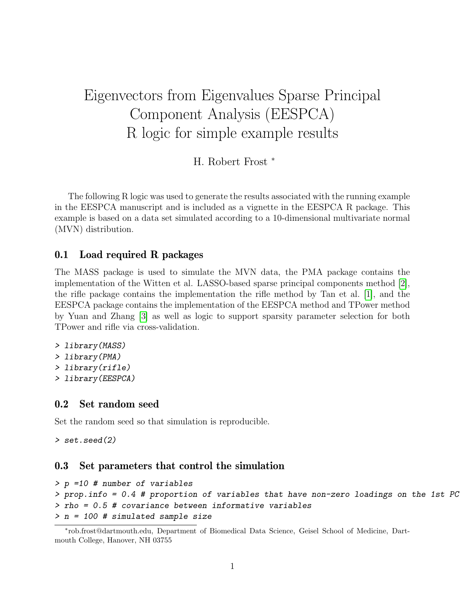# Eigenvectors from Eigenvalues Sparse Principal Component Analysis (EESPCA) R logic for simple example results

H. Robert Frost <sup>∗</sup>

The following R logic was used to generate the results associated with the running example in the EESPCA manuscript and is included as a vignette in the EESPCA R package. This example is based on a data set simulated according to a 10-dimensional multivariate normal (MVN) distribution.

#### 0.1 Load required R packages

The MASS package is used to simulate the MVN data, the PMA package contains the implementation of the Witten et al. LASSO-based sparse principal components method [\[2\]](#page-9-0), the rifle package contains the implementation the rifle method by Tan et al. [\[1\]](#page-9-1), and the EESPCA package contains the implementation of the EESPCA method and TPower method by Yuan and Zhang [\[3\]](#page-9-2) as well as logic to support sparsity parameter selection for both TPower and rifle via cross-validation.

- > library(MASS)
- > library(PMA)
- > library(rifle)
- > library(EESPCA)

#### 0.2 Set random seed

Set the random seed so that simulation is reproducible.

> set.seed(2)

#### 0.3 Set parameters that control the simulation

```
> p =10 # number of variables
```

```
> prop.info = 0.4 # proportion of variables that have non-zero loadings on the 1st PC
> rho = 0.5 # covariance between informative variables
```

```
> n = 100 # simulated sample size
```

```
∗
rob.frost@dartmouth.edu, Department of Biomedical Data Science, Geisel School of Medicine, Dart-
mouth College, Hanover, NH 03755
```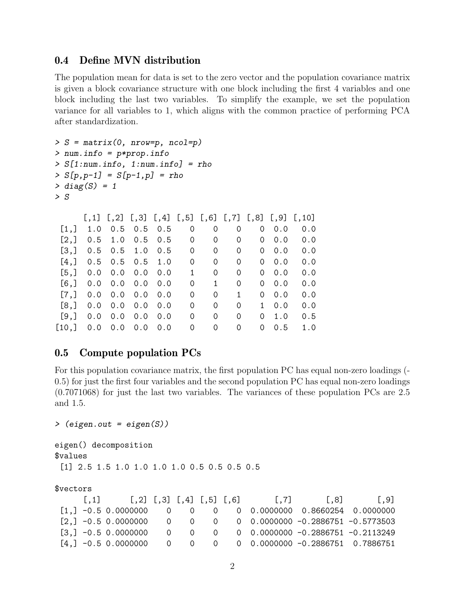## 0.4 Define MVN distribution

The population mean for data is set to the zero vector and the population covariance matrix is given a block covariance structure with one block including the first 4 variables and one block including the last two variables. To simplify the example, we set the population variance for all variables to 1, which aligns with the common practice of performing PCA after standardization.

```
> S = matrix(0, nrow=p, ncol=p)> num.info = p*prop.info
> S[1:num.info, 1:num.info] = rho> S[p, p-1] = S[p-1, p] = rho> diag(S) = 1> S\left[1, 1\right] \left[1, 2\right] \left[1, 3\right] \left[1, 4\right] \left[1, 5\right] \left[1, 6\right] \left[1, 7\right] \left[1, 8\right] \left[1, 9\right] \left[1, 10\right][1,] 1.0 0.5 0.5 0.5 0 0 0 0 0 0.0 0.0
 [2,] 0.5 1.0 0.5 0.5 0 0 0 0 0 0.0 0.0
 [3,] 0.5 0.5 1.0 0.5 0 0 0 0 0.0 0.0
 [4,] 0.5 0.5 0.5 1.0 0 0 0 0 0 0.0 0.0
 [5,] 0.0 0.0 0.0 0.0 1 0 0 0 0.0 0.0
 [6,] 0.0 0.0 0.0 0.0 0 1 0 0 0.0 0.0
 [7,] 0.0 0.0 0.0 0.0 0 0 0 1 0 0.0 0.0
 [8,] 0.0 0.0 0.0 0.0 0 0 0 1 0.0 0.0
 [9,] 0.0 0.0 0.0 0.0 0 0 0 0 1.0 0.5
[10,] 0.0 0.0 0.0 0.0 0 0 0 0 0.5 1.0
```
#### 0.5 Compute population PCs

For this population covariance matrix, the first population PC has equal non-zero loadings (- 0.5) for just the first four variables and the second population PC has equal non-zero loadings (0.7071068) for just the last two variables. The variances of these population PCs are 2.5 and 1.5.

```
> (eigen.out = eigen(S))
```

```
eigen() decomposition
$values
 [1] 2.5 1.5 1.0 1.0 1.0 1.0 0.5 0.5 0.5 0.5
```

```
$vectors
```

| 1.11 | $[0,2]$ $[0,3]$ $[0,4]$ $[0,5]$ $[0,6]$ |  |  | $\vert .7 \vert$ | $\vert .8 \vert$                                                                                  | .9 |
|------|-----------------------------------------|--|--|------------------|---------------------------------------------------------------------------------------------------|----|
|      |                                         |  |  |                  | $\begin{bmatrix} 1 \\ 1 \end{bmatrix}$ -0.5 0.0000000 0 0 0 0 0 0 0.0000000 0.8660254 0.0000000   |    |
|      |                                         |  |  |                  | $[2,]$ -0.5 0.0000000 0 0 0 0 0.0000000 -0.2886751 -0.5773503                                     |    |
|      |                                         |  |  |                  | $\begin{bmatrix} 3 \\ 3 \end{bmatrix}$ -0.5 0.0000000 0 0 0 0 0 0 0.0000000 -0.2886751 -0.2113249 |    |
|      |                                         |  |  |                  | $[4,]$ -0.5 0.0000000 0 0 0 0 0.0000000 -0.2886751 0.7886751                                      |    |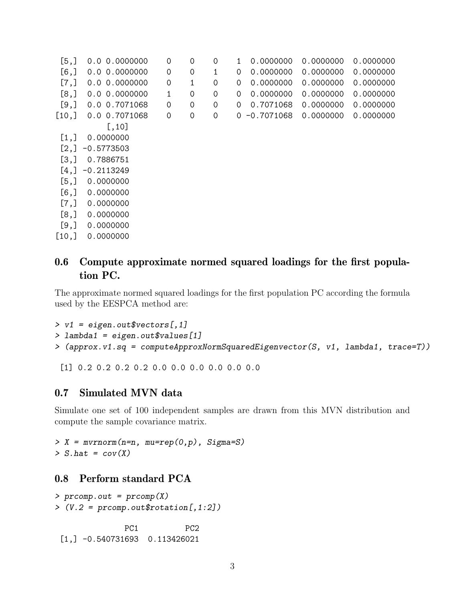| [5,]                 | 0.0 0.0000000     | 0            | 0 | $\Omega$ | 0.0000000<br>1           | 0.0000000 | 0.0000000 |
|----------------------|-------------------|--------------|---|----------|--------------------------|-----------|-----------|
| [6,                  | 0.0 0.0000000     | 0            | 0 | 1        | 0<br>0.0000000           | 0.0000000 | 0.0000000 |
| [7,]                 | 0.0 0.0000000     | 0            | 1 | $\Omega$ | 0.0000000<br>0           | 0.0000000 | 0.0000000 |
| [8,]                 | $0.0$ 0.0000000   | $\mathbf{1}$ | 0 | $\Omega$ | 0.0000000<br>0           | 0.0000000 | 0.0000000 |
| [9,]                 | 0.0 0.7071068     | $\mathbf 0$  | 0 | 0        | 0.7071068<br>0           | 0.0000000 | 0.0000000 |
| [10,]                | 0.0 0.7071068     | 0            | 0 | 0        | $-0.7071068$<br>$\Omega$ | 0.0000000 | 0.0000000 |
|                      | [,10]             |              |   |          |                          |           |           |
| $\lfloor 1, \rfloor$ | 0.0000000         |              |   |          |                          |           |           |
|                      | $[2,] -0.5773503$ |              |   |          |                          |           |           |
| [3,]                 | 0.7886751         |              |   |          |                          |           |           |
| [4,]                 | $-0.2113249$      |              |   |          |                          |           |           |
| [5,]                 | 0.0000000         |              |   |          |                          |           |           |
| $[6,$ ]              | 0.0000000         |              |   |          |                          |           |           |
| [7,]                 | 0.0000000         |              |   |          |                          |           |           |
| [8,]                 | 0.0000000         |              |   |          |                          |           |           |
| [9,]                 | 0.0000000         |              |   |          |                          |           |           |
| [10,]                | 0.0000000         |              |   |          |                          |           |           |

## 0.6 Compute approximate normed squared loadings for the first population PC.

The approximate normed squared loadings for the first population PC according the formula used by the EESPCA method are:

```
> v1 = eigen.out$vectors[,1]
> lambda1 = eigen.out$values[1]
> (approx.v1.sq = computeApproxNormSquaredEigenvector(S, v1, lambda1, trace=T))
```
[1] 0.2 0.2 0.2 0.2 0.0 0.0 0.0 0.0 0.0 0.0

## 0.7 Simulated MVN data

Simulate one set of 100 independent samples are drawn from this MVN distribution and compute the sample covariance matrix.

```
> X = mvrnorm(n=n, mu=rep(0, p), Signa=S)> S.hat = cov(X)
```
## 0.8 Perform standard PCA

```
> prcomp.out = prcomp(X)
> (V.2 = prcomp.out \text{rotation}[,1:2])
```
PC1 PC2 [1,] -0.540731693 0.113426021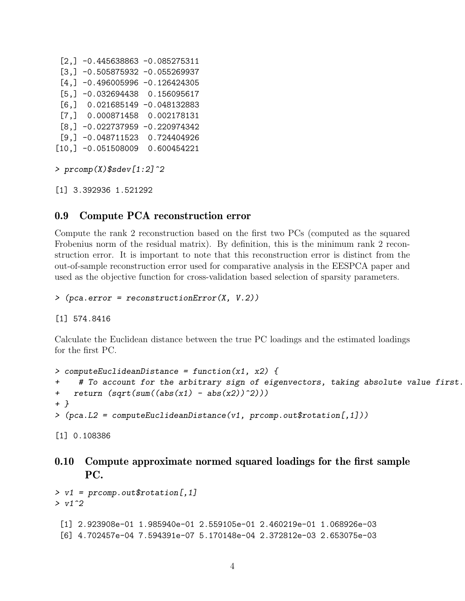$[2,] -0.445638863 -0.085275311$  $[3,] -0.505875932 -0.055269937$  $[4,] -0.496005996 -0.126424305$ [5,] -0.032694438 0.156095617 [6,] 0.021685149 -0.048132883 [7,] 0.000871458 0.002178131  $[8, ] -0.022737959 -0.220974342$ [9,] -0.048711523 0.724404926 [10,] -0.051508009 0.600454221

```
> prcomp(X)$sdev[1:2]^2
```
[1] 3.392936 1.521292

#### 0.9 Compute PCA reconstruction error

Compute the rank 2 reconstruction based on the first two PCs (computed as the squared Frobenius norm of the residual matrix). By definition, this is the minimum rank 2 reconstruction error. It is important to note that this reconstruction error is distinct from the out-of-sample reconstruction error used for comparative analysis in the EESPCA paper and used as the objective function for cross-validation based selection of sparsity parameters.

> (pca.error = reconstructionError(X, V.2))

[1] 574.8416

Calculate the Euclidean distance between the true PC loadings and the estimated loadings for the first PC.

```
> computeEuclideanDistance = function(x1, x2) {
+ # To account for the arbitrary sign of eigenvectors, taking absolute value first.
+ return (sqrt(sum((abs(x1) - abs(x2))^2)))+ }
> (pca. L2 = computeEuclideanDistance(v1, prcomp.out$rotation[,1]))
```

```
[1] 0.108386
```

```
0.10 Compute approximate normed squared loadings for the first sample
     PC.
```

```
> v1 = prcomp.out$rotation[,1]
> v1^2[1] 2.923908e-01 1.985940e-01 2.559105e-01 2.460219e-01 1.068926e-03
 [6] 4.702457e-04 7.594391e-07 5.170148e-04 2.372812e-03 2.653075e-03
```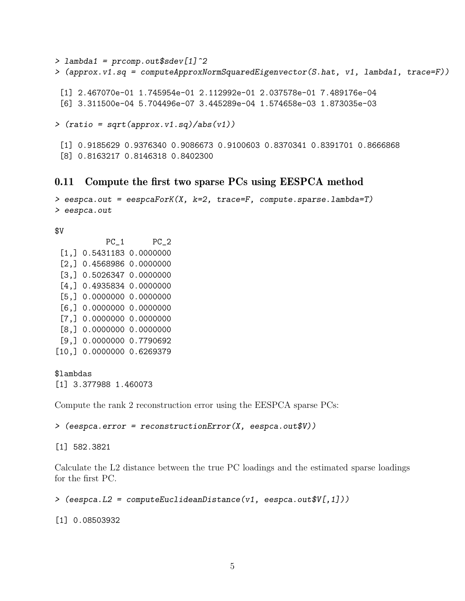```
> lambda1 = prcomp.out$sdev[1]^2
> (approx.v1.sq = computeApproxNormSquaredEigenvector(S.hat, v1, lambda1, trace=F))
 [1] 2.467070e-01 1.745954e-01 2.112992e-01 2.037578e-01 7.489176e-04
 [6] 3.311500e-04 5.704496e-07 3.445289e-04 1.574658e-03 1.873035e-03
> (ratio = sqrt(approx.v1.sq)/abs(v1))
 [1] 0.9185629 0.9376340 0.9086673 0.9100603 0.8370341 0.8391701 0.8666868
```

```
[8] 0.8163217 0.8146318 0.8402300
```
#### 0.11 Compute the first two sparse PCs using EESPCA method

```
> eespca.out = eespcaForK(X, k=2, trace=F, compute.sparse.lambda=T)
> eespca.out
```

```
$V
```
PC\_1 PC\_2 [1,] 0.5431183 0.0000000 [2,] 0.4568986 0.0000000 [3,] 0.5026347 0.0000000 [4,] 0.4935834 0.0000000 [5,] 0.0000000 0.0000000 [6,] 0.0000000 0.0000000 [7,] 0.0000000 0.0000000 [8,] 0.0000000 0.0000000 [9,] 0.0000000 0.7790692 [10,] 0.0000000 0.6269379

\$lambdas [1] 3.377988 1.460073

Compute the rank 2 reconstruction error using the EESPCA sparse PCs:

> (eespca.error = reconstructionError(X, eespca.out\$V))

[1] 582.3821

Calculate the L2 distance between the true PC loadings and the estimated sparse loadings for the first PC.

 $\geq$  (eespca.L2 = computeEuclideanDistance(v1, eespca.out\$V[,1]))

[1] 0.08503932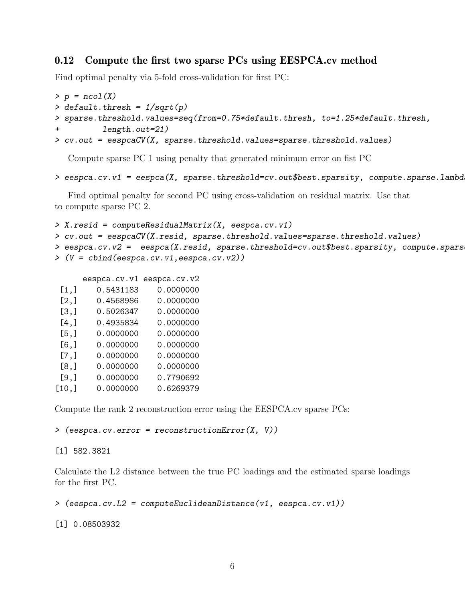## 0.12 Compute the first two sparse PCs using EESPCA.cv method

Find optimal penalty via 5-fold cross-validation for first PC:

```
> p = ncol(X)> default.thresh = 1/sqrt(p)> sparse.threshold.values=seq(from=0.75*default.thresh, to=1.25*default.thresh,
+ length.out=21)
> cv.out = eespcaCV(X, sparse.threshold.values=sparse.threshold.values)
```
Compute sparse PC 1 using penalty that generated minimum error on fist PC

```
> eespca.cv.v1 = eespca(X, sparse.threshold=cv.out$best.sparsity, compute.sparse.lambd
```
Find optimal penalty for second PC using cross-validation on residual matrix. Use that to compute sparse PC 2.

```
> X.resid = computeResidualMatrix(X, eespca.cv.v1)
> cv.out = eespcaCV(X.resid, sparse.threshold.values=sparse.threshold.values)
> eespca.cv.v2 = eespca(X.resid, sparse.threshold=cv.out$best.sparsity, compute.spars
> (V = cbind(eespca.cv.v1,eespca.cv.v2))
```
eespca.cv.v1 eespca.cv.v2

| [1,]    | 0.5431183 | 0.0000000 |
|---------|-----------|-----------|
| [2,]    | 0.4568986 | 0.0000000 |
| [3,]    | 0.5026347 | 0.0000000 |
| $[4,$ ] | 0.4935834 | 0.0000000 |
| [5,]    | 0.0000000 | 0.0000000 |
| $[6,$ ] | 0.0000000 | 0.0000000 |
| [7,]    | 0.0000000 | 0.0000000 |
| [8,]    | 0.0000000 | 0.0000000 |
| $[9,$ ] | 0.0000000 | 0.7790692 |
| [10,]   | 0.0000000 | 0.6269379 |

Compute the rank 2 reconstruction error using the EESPCA.cv sparse PCs:

> (eespca.cv.error = reconstructionError(X, V))

[1] 582.3821

Calculate the L2 distance between the true PC loadings and the estimated sparse loadings for the first PC.

```
\geq (eespca.cv.L2 = computeEuclideanDistance(v1, eespca.cv.v1))
```
[1] 0.08503932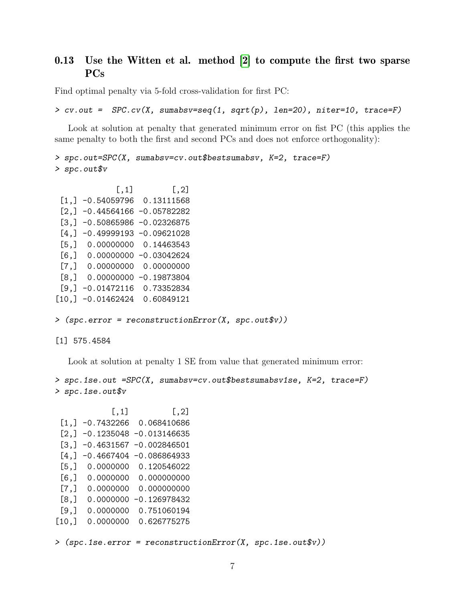## 0.13 Use the Witten et al. method [\[2\]](#page-9-0) to compute the first two sparse PCs

Find optimal penalty via 5-fold cross-validation for first PC:

```
> cv.out = SPC.cv(X, sumabsv=seq(1, sqrt(p), len=20), niter=10, trace=F)
```
Look at solution at penalty that generated minimum error on fist PC (this applies the same penalty to both the first and second PCs and does not enforce orthogonality):

```
> spc.out=SPC(X, sumabsv=cv.out$bestsumabsv, K=2, trace=F)
> spc.out$v
```

```
\left[ ,1\right] \left[ ,2\right][1,] -0.54059796 0.13111568
[2,] -0.44564166 -0.05782282[3,] -0.50865986 -0.02326875[4,] -0.49999193 -0.09621028[5,] 0.00000000 0.14463543
[6,] 0.00000000 -0.03042624
[7,] 0.00000000 0.00000000
[8,] 0.00000000 -0.19873804
[9,] -0.01472116 0.73352834
[10,] -0.01462424 0.60849121
```
> (spc.error = reconstructionError(X, spc.out\$v))

[1] 575.4584

Look at solution at penalty 1 SE from value that generated minimum error:

```
> spc.1se.out =SPC(X, sumabsv=cv.out$bestsumabsv1se, K=2, trace=F)
> spc.1se.out$v
```

```
[ , 1] [ , 2][1,] -0.7432266 0.068410686
[2,] -0.1235048 -0.013146635[3,] -0.4631567 -0.002846501[4,] -0.4667404 -0.086864933[5,] 0.0000000 0.120546022
[6,] 0.0000000 0.000000000
[7,] 0.0000000 0.000000000
[8,] 0.0000000 -0.126978432
[9,] 0.0000000 0.751060194
[10,] 0.0000000 0.626775275
```
> (spc.1se.error = reconstructionError(X, spc.1se.out\$v))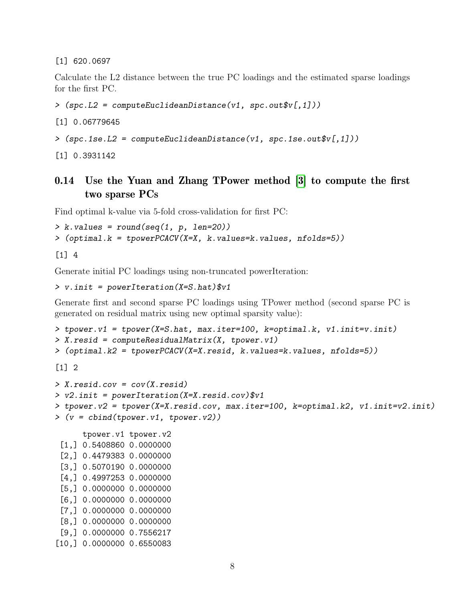[1] 620.0697

Calculate the L2 distance between the true PC loadings and the estimated sparse loadings for the first PC.

```
> (spc.L2 = computeEuclideanDistance(v1, spc.out$v[,1]))
```
[1] 0.06779645

```
> (spc.1se.L2 = computeEuclideanDistance(v1, spc.1se.out$v[,1]))
```
[1] 0.3931142

# 0.14 Use the Yuan and Zhang TPower method [\[3\]](#page-9-2) to compute the first two sparse PCs

Find optimal k-value via 5-fold cross-validation for first PC:

```
> k.yalues = round(seq(1, p, len=20))> (optimal.k = tpowerPCACV(X=X, k.values=k.values, nfolds=5))
```
[1] 4

Generate initial PC loadings using non-truncated powerIteration:

```
> v.init = powerIteration(X=S.hat)$v1
```
Generate first and second sparse PC loadings using TPower method (second sparse PC is generated on residual matrix using new optimal sparsity value):

```
> tpower.v1 = tpower(X=S.hat, max.iter=100, k=optimal.k, v1.init=v.init)
> X.resid = computeResidualMatrix(X, tpower.v1)
> (optimal.k2 = tpowerPCACV(X=X.resid, k.values=k.values, nfolds=5))
[1] 2
> X.resid.cov = cov(X.resid)
> v2.init = powerIteration(X=X.resid.cov)$v1
> tpower.v2 = tpower(X=X.resid.cov, max.iter=100, k=optimal.k2, v1.init=v2.init)
> (v = cbind(tpower.v1, tpower.v2))
```

```
tpower.v1 tpower.v2
[1,] 0.5408860 0.0000000
[2,] 0.4479383 0.0000000
[3,] 0.5070190 0.0000000
[4,] 0.4997253 0.0000000
[5,] 0.0000000 0.0000000
[6,] 0.0000000 0.0000000
[7,] 0.0000000 0.0000000
[8,] 0.0000000 0.0000000
[9,] 0.0000000 0.7556217
[10,] 0.0000000 0.6550083
```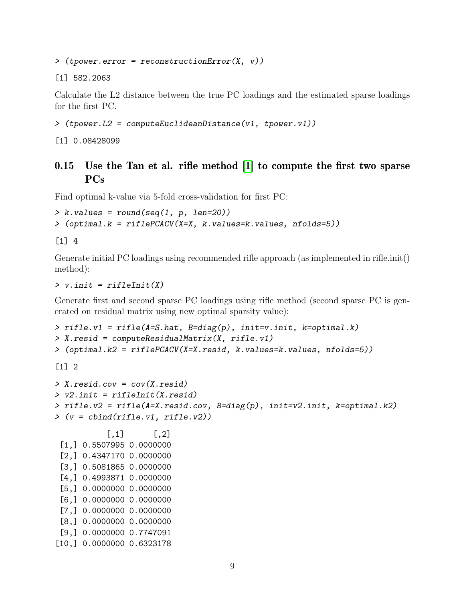$\geq$  (tpower.error = reconstructionError(X, v))

[1] 582.2063

Calculate the L2 distance between the true PC loadings and the estimated sparse loadings for the first PC.

```
> (tpower.L2 = computeEuclideanDistance(v1, tpower.v1))
```
[1] 0.08428099

## 0.15 Use the Tan et al. rifle method [\[1\]](#page-9-1) to compute the first two sparse PCs

Find optimal k-value via 5-fold cross-validation for first PC:

```
> k.yalues = round(seq(1, p, len=20))> (optimal.k = riflePCACV(X=X, k.values=k.values, nfolds=5))
```
[1] 4

Generate initial PC loadings using recommended rifle approach (as implemented in rifle.init() method):

#### $> v.$  init = rifleInit(X)

[10,] 0.0000000 0.6323178

Generate first and second sparse PC loadings using rifle method (second sparse PC is generated on residual matrix using new optimal sparsity value):

```
> rifle.v1 = rifle(A=S.hat, B=diag(p), init=v.init, k=optimal.k)
> X.resid = computeResidualMatrix(X, rifle.v1)
> (optimal.k2 = riflePCACV(X=X.resid, k.values=k.values, nfolds=5))
[1] 2
```

```
> X.resid.cov = cov(X.resid)
> v2.init = rifleInit(X.resid)
> rifle.v2 = rifle(A=X.resid.cov, B=diag(p), init=v2.init, k=optimal.k2)
> (v = cbind(rifle.v1, rifle.v2))
           [0,1] [0,2][1,] 0.5507995 0.0000000
 [2,] 0.4347170 0.0000000
 [3,] 0.5081865 0.0000000
 [4,] 0.4993871 0.0000000
 [5,] 0.0000000 0.0000000
 [6,] 0.0000000 0.0000000
 [7,] 0.0000000 0.0000000
 [8,] 0.0000000 0.0000000
 [9,] 0.0000000 0.7747091
```